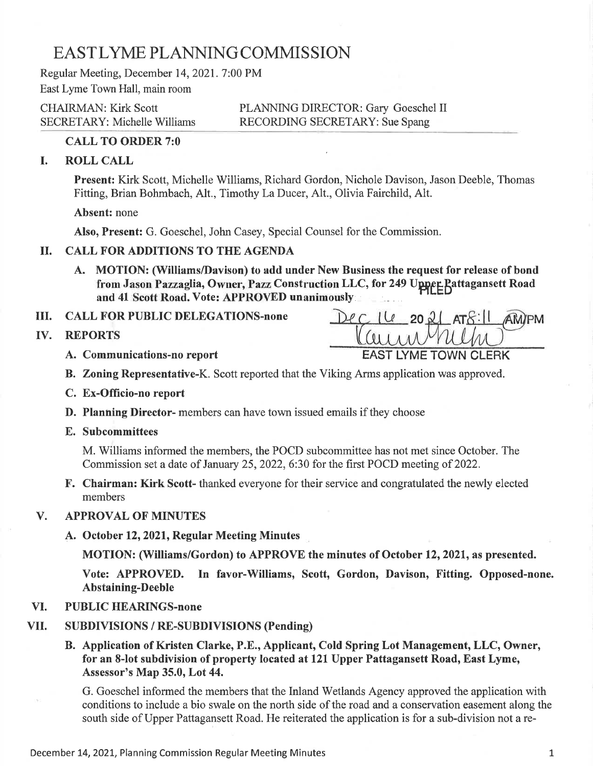# EASTLYME PLANNING COMMISSION

Regular Meeting, December 14,2021.7:00 PM East Lyme Town Hall, main room

CHAIRMAN: Kirk Scott PLANNING DIRECTOR: Gary Goeschel II SECRETARY: Michelle Williams RECORDING SECRETARY: Sue Spang

# CALL TO ORDER 7:0

# I. ROLL CALL

Present: Kirk Scott, Michelle Williams, Richard Gordon, Nichole Davison, Jason Deeble, Thornas Fitting, Brian Bohmbach, Alt., Timothy La Ducer, Alt., Olivia Fairchild, Alt.

Absent: none

Also, Present: G. Goeschel, John Casey, Special Counsel for the Commission.

# il. CALL FOR ADDITIONS TO THE AGENDA

A. MOTION: (Williams/Davison) to add under New Business the request for release of bond from Jason Pazzaglia, Owner, Pazz Construction LLC, for 249 Upper Pattagansett Road and 41 Scott Road. Vote: APPROVED unanimously

ilI. CALL FOR PUBLIC DELEGATIONS-none

IV. REPORTS

 $16$  20  $20$  ATS:  $1$  AM/PM A. Communications-no report EAST LYME TOWN CLERK

- B. Zoning Representative-K. Scott reported that the Viking Arms application was approved.
- C. Ex-Officio-no report
- D. Planning Director- members can have town issued emails if they choose
- E. Subcommittees

M. Williams informed the members, the POCD subcommittee has not met since October. The Commission set a date of January 25, 2022, 6:30 for the first POCD meeting of 2022.

F. Chairman: Kirk Scott- thanked everyone for their service and congratulated the newly elected members

#### **APPROVAL OF MINUTES** V.

A. October 12,2021, Regular Meeting Minutes

MOTION: (Williams/Gordon) to APPROVE the minutes of October 12,2021, as presented.

Vote: APPROVED. In favor-Williams, Scott, Gordon, Davison, Fitting. Opposed-none. Abstaining-Deeble

#### PUBLIC HEARINGS-none VI.

#### SUBDIVISIONS / RE-SUBDIVISIONS (Pending) vII.

B. Application of Kristen Clarke, P.E., Applicant, Cold Spring Lot Management, LLC, Owner, for an 8-lot subdivision of property located at 121 Upper Pattagansett Road, East Lyme, Assessor's Map 35.0, Lot 44.

G. Goeschel informed the members that the Inland Wetlands Agency approved the application with conditions to include a bio swale on the north side of the road and a conservation easement along the south side of Upper Pattagansett Road. He reiterated the application is for a sub-division not a re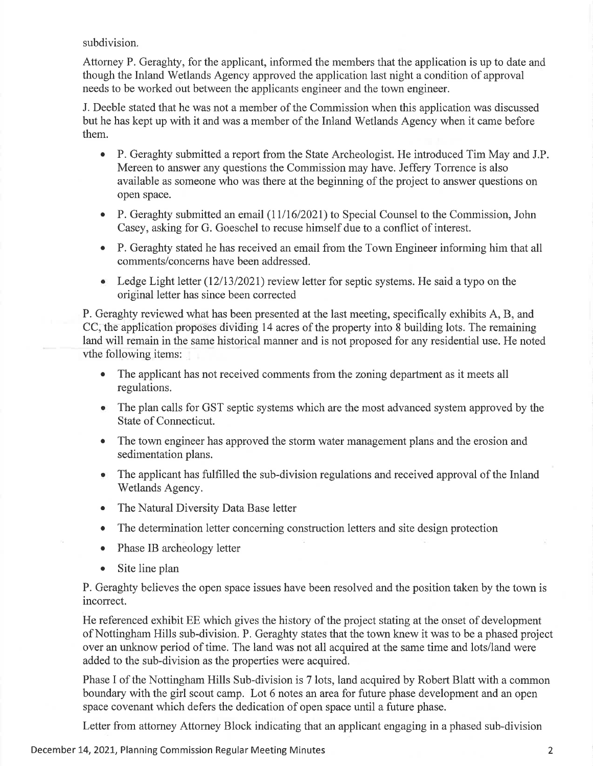subdivision.

Attorney P. Geraghty, for the applicant, informed the members that the application is up to date and though the Inland Wetlands Agency approved the application last night a condition of approval needs to be worked out between the applicants engineer and the town engineer.

J. Deeble stated that he was not a member of the Commission when this application was discussed but he has kept up with it and was a member of the Inland Wetlands Agency when it came before them.

- o P. Geraghty submitted a report from the State Archeologist. He introduced Tim May and J.P. Mereen to answer any questions the Commission may have. Jeffery Torrence is also available as someone who was there at the beginning of the project to answer questions on open space.
- P. Geraghty submitted an email  $(11/16/2021)$  to Special Counsel to the Commission, John Casey, asking for G. Goeschel to recuse himself due to a conflict of interest.
- P. Geraghty stated he has received an email from the Town Engineer informing him that all comments/concems have been addressed.
- Ledge Light letter  $(12/13/2021)$  review letter for septic systems. He said a typo on the original letter has since been corrected

P. Geraghty reviewed what has been presented at the last meeting, specifically exhibits A, B, and CC, the application proposes dividing 14 acres of the property into 8 building lots. The remaining land will remain in the same historical manner and is not proposed for any residential use. He noted vthe following items:

- The applicant has not received comments from the zoning department as it meets all regulations.
- o The plan calls for GST septic systems which are the most advanced system approved by the State of Connecticut.
- The town engineer has approved the storm water management plans and the erosion and sedimentation plans.
- o The applicant has fulfilled the sub-division regulations and received approval of the Inland Wetlands Agency.
- The Natural Diversity Data Base letter
- The determination letter concerning construction letters and site design protection
- . Phase lB archeology letter
- . Site line plan

P. Geraghty believes the open space issues have been resolved and the position taken by the town is incorrect.

He referenced exhibit EE which gives the history of the project stating at the onset of development of Nottingham Hills sub-division. P. Geraghty states that the town knew it was to be a phased project over an unknow period of time. The land was not all acquired at the same time and lots/land were added to the sub-division as the properties were acquired.

Phase I of the Nottingham Hills Sub-division is 7 lots, land acquired by Robert Blatt with a common boundary with the girl scout camp. Lot 6 notes an area for future phase development and an open space covenant which defers the dedication of open space until a future phase.

Letter from attorney Attorney Block indicating that an applicant engaging in a phased sub-division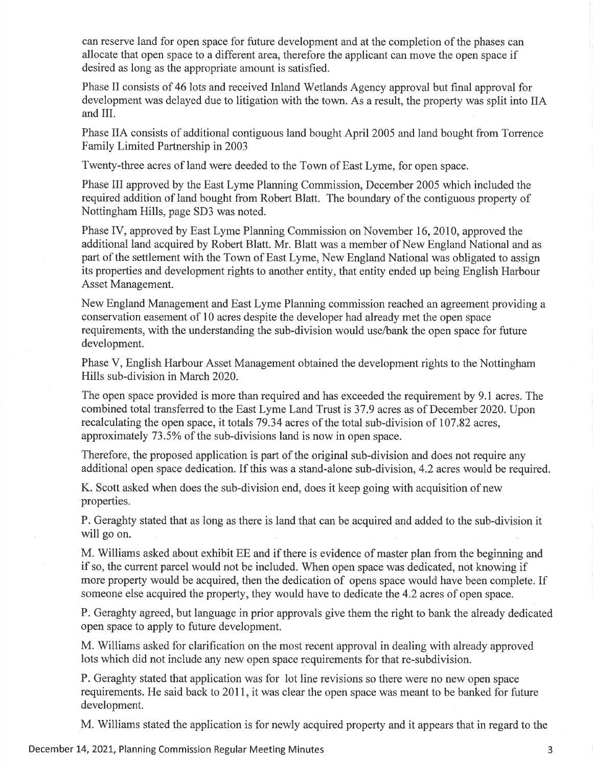can reserve land for open space for future development and at the completion of the phases can allocate that open space to a different area, therefore the applicant can move the open space if desired as long as the appropriate amount is satisfied.

Phase II consists of 46 lots and received Inland Wetlands Agency approval but final approval for development was delayed due to litigation with the town. As a result, the property was split into IIA and III.

Phase IIA consists of additional contiguous land bought April 2005 and land bought from Torrence Family Limited Partnership in 2003

Twenty-three acres of land were deeded to the Town of East Lyme, for open space.

Phase III approved by the East Lyme Planning Commission, December 2005 which included the required addition of land bought from Robert Blatt. The boundary of the contiguous property of Nottingham Hills, page SD3 was noted.

Phase IV, approved by East Lyme Planning Commission on November 16, 2010, approved the additional land acquired by Robert Blatt. Mr. Blatt was a member of New England National and as part of the settlement with the Town of East Lyme, New England National was obligated to assign its properties and development rights to another entity, that entity ended up being English Harbour Asset Management.

New England Management and East Lyme Planning commission reached an agreement providing a conservation easement of 10 acres despite the developer had already met the open space requirements, with the understanding the sub-division would use/bank the open space for future development.

Phase V, English Harbour Asset Management obtained the development rights to the Nottingham Hills sub-division in March 2020.

The open space provided is more than required and has exceeded the requirement by 9.1 acres. The combined total transferred to the East Lyme Land Trust is 37.9 acres as of December 2020. Upon recalculating the open space, it totals 79.34 acres of the total sub-division of 107 .82 acres, approximately 73.5% of the sub-divisions land is now in open space.

Therefore, the proposed application is part of the original sub-division and does not require any additional open space dedication. If this was a stand-alone sub-division,4.2 acres would be required.

K. Scott asked when does the sub-division end, does it keep going with acquisition of new properties.

P. Geraghty stated that as long as there is land that can be acquired and added to the sub-division it will go on.

M. Williams asked about exhibit EE and if there is evidence of master plan from the beginning and if so, the current parcel would not be included. When open space was dedicated, not knowing if more property would be acquired, then the dedication of opens space would have been complete. If someone else acquired the property, they would have to dedicate the 4.2 acres of open space.

P. Geraghty agreed, but language in prior approvals give them the right to bank the already dedicated open space to apply to future development.

M. Williams asked for clarification on the most recent approval in dealing with already approved lots which did not include any new open space requirements for that re-subdivision.

P. Geraghty stated that application was for lot line revisions so there were no new open space requirements. He said back to 2011, it was clear the open space was meant to be banked for future development.

M. Williams stated the application is for newly acquired property and it appears that in regard to the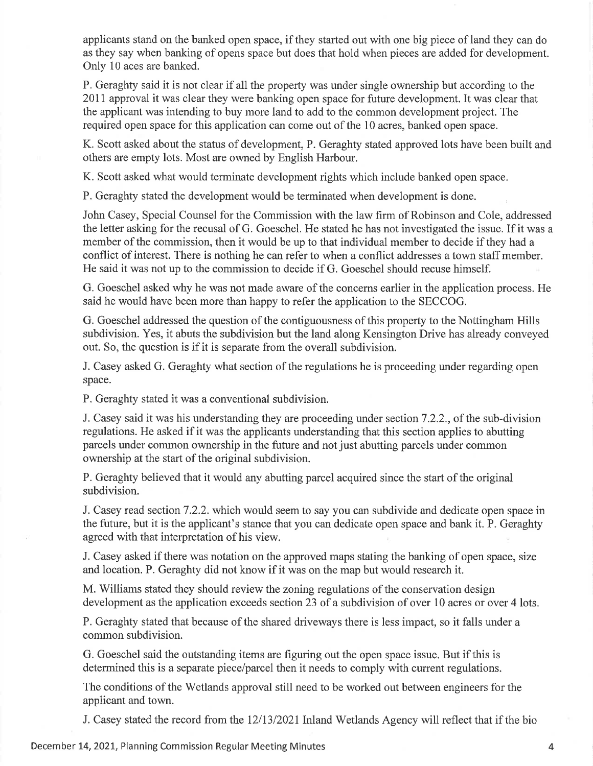applicants stand on the banked open space, if they started out with one big piece of land they can do as they say when banking of opens space but does that hold when pieces are added for development. Only 10 aces are banked.

P. Geraghty said it is not clear if all the property was under single ownership but according to the 2011 approval it was clear they were banking open space for future development. It was clear that the applicant was intending to buy more land to add to the common development project. The required open space for this application can come out of the 10 acres, banked open space.

K. Scott asked about the status of development, P. Geraghty stated approved lots have been built and others are empty lots. Most are owned by English Harbour.

K. Scott asked what would terminate development rights which include banked open space.

P. Geraghty stated the development would be terminated when development is done.

John Casey, Special Counsel for the Commission with the law firm of Robinson and Cole, addressed the letter asking for the recusal of G. Goeschel. He stated he has not investigated the issue. If it was a member of the commission, then it would be up to that individual member to decide if they had a conflict of interest. There is nothing he can refer to when a conflict addresses a town staff member. He said it was not up to the commission to decide if G. Goeschel should recuse himself.

G. Goeschel asked why he was not made aware of the concems earlier in the application process. He said he would have been more than happy to refer the application to the SECCOG.

G. Goeschel addressed the question of the contiguousness of this property to the Nottingham Hills subdivision. Yes, it abuts the subdivision but the land along Kensington Drive has already conveyed out. So, the question is if it is separate from the overall subdivision.

J. Casey asked G. Geraghty what section of the regulations he is proceeding under regarding open space.

P. Geraghty stated it was a conventional subdivision.

J. Casey said it was his understanding they are proceeding under section 7.2.2., of the sub-division regulations. He asked if it was the applicants understanding that this section applies to abutting parcels under common ownership in the future and not just abutting parcels under common ownership at the start of the original subdivision.

P. Geraghty believed that it would any abutting parcel acquired since the start of the original subdivision.

J. Casey read section7.2.2. which would seem to say you can subdivide and dedicate open space in the future, but it is the applicant's stance that you can dedicate open space and bank it. P. Geraghty agreed with that interpretation of his view.

J. Casey asked if there was notation on the approved maps stating the banking of open space, size and location. P. Geraghty did not know if it was on the map but would research it.

M. Williams stated they should review the zoning regulations of the conservation design development as the application exceeds section 23 of a subdivision of over 10 acres or over 4 lots.

P. Geraghty stated that because of the shared driveways there is less impact, so it falls under a common subdivision.

G. Goeschel said the outstanding items are figuring out the open space issue. But if this is determined this is a separate piece/parcel then it needs to comply with current regulations.

The conditions of the Wetlands approval still need to be worked out between engineers for the applicant and town.

J. Casey stated the record from the 12/13/2021 Inland Wetlands Agency will reflect that if the bio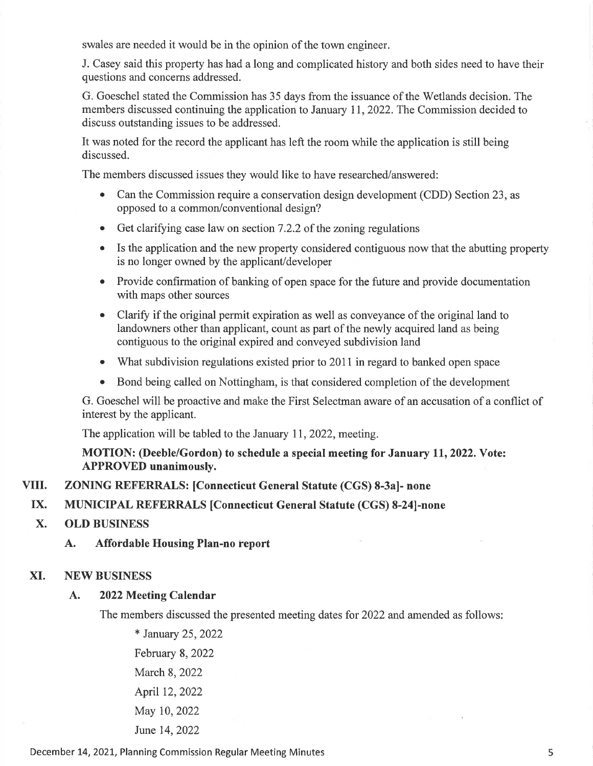swales are needed it would be in the opinion of the town engineer.

J. Casey said this property has had a long and complicated history and both sides need to have their questions and concems addressed.

G. Goeschel stated the Commission has 35 days from the issuance of the Wetlands decision. The members discussed continuing the application to January 11,2022. The Commission decided to discuss outstanding issues to be addressed.

It was noted for the record the applicant has left the room while the application is still being discussed.

The members discussed issues they would like to have researched/answered:

- Can the Commission require a conservation design development (CDD) Section 23, as opposed to a common/conventional design?
- $\bullet$  Get clarifying case law on section 7.2.2 of the zoning regulations
- Is the application and the new property considered contiguous now that the abutting property is no longer owned by the applicant/developer
- Provide confirmation of banking of open space for the future and provide documentation with maps other sources
- Clarify if the original permit expiration as well as conveyance of the original land to landowners other than applicant, count as part of the newly acquired land as being contiguous to the original expired and conveyed subdivision land
- What subdivision regulations existed prior to 2011 in regard to banked open space
- Bond being called on Nottingham, is that considered completion of the development

G. Goeschel will be proactive and make the First Selectman aware of an accusation of a conflict of interest by the applicant.

The application will be tabled to the January 11, 2022, meeting.

# MOTION: (Deeble/Gordon) to schedule a special meeting for January 11,2022. Vote: APPROVED unanimously.

#### ZONING REFERRALS: [Connecticut General Statute (CGS) 8-3a]- none VIII.

#### MUNICIPAL REFERRALS [Connecticut General Statute (CGS) 8-241-none IX.

- OLD BUSINESS X.
	- A. Affordable Housing Plan-no report

### XI. NEW BUSINESS

### A. 2022 Meeting Calendar

The members discussed the presented meeting dates for 2022 and amended as follows:

\* January 25,2022 February 8, 2022 March 8, 2022 April 12, 2022 May 10,2022 June 14,2022

December L4,2O2L, Planning Commission Regular Meeting Minutes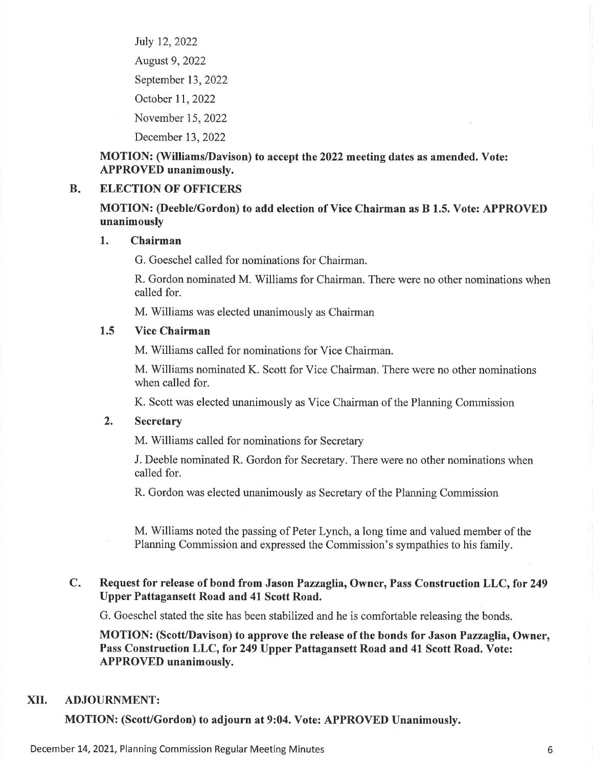July 12,2022 August 9,2022 September 13,2022 October 1I,2022 November 15,2022

December 13,2022

# MOTION: (Williams/Davison) to accept the 2022 meeting dates as amended. Vote: APPROVED unanimously.

#### $B<sub>r</sub>$ ELECTION OF OFFICERS

# MOTION: (Deeble/Gordon) to add election of Vice Chairman as B 1.5. Vote: APPROVED unanimously

### 1. Chairman

G. Goeschel called for nominations for Chairman.

R. Gordon nominated M. Williams for Chairman. There were no other nominations when called for.

M. Williams was elected unanimously as Chairman

### 1.5 Vice Chairman

M. Williams called for nominations for Vice Chairman.

M. Williams nominated K. Scott for Vice Chairman. There were no other nominations when called for.

K. Scott was elected unanimously as Vice Chairman of the Planning Commission

### 2. Secretary

M. Williams called for nominations for Secretary

J. Deeble nominated R. Gordon for Secretary. There were no other nominations when called for.

R. Gordon was elected unanimously as Secretary of the Planning Commission

M. Williams noted the passing of Peter Lynch, a long time and valued member of the Planning Commission and expressed the Commission's sympathies to his family.

### Request for release of bond from Jason Pazzaglia, Owner, Pass Construction LLC, for 249 Upper Pattagansett Road and 41 Scott Road.  $C_{\star}$

G. Goeschel stated the site has been stabilized and he is comfortable releasing the bonds.

MOTION: (Scott/Davison) to approve the release of the bonds for Jason Pazzaglia, Owner, Pass Construction LLC, for 249 Upper Pattagansett Road and 41 Scott Road. Vote: APPROVED unanimously.

### XII. ADJOURNMENT:

MOTION: (Scott/Gordon) to adjourn at 9:04. Vote: APPROVED Unanimously.